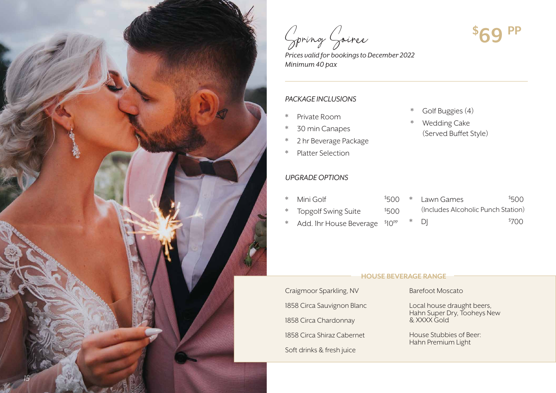

Spring Soiree **\$**

**69 PP**

*Prices valid for bookings to December 2022 Minimum 40 pax*

# *PACKAGE INCLUSIONS*

- \* Private Room
- \* 30 min Canapes
- \* 2 hr Beverage Package
- \* Platter Selection

# *UPGRADE OPTIONS*

 $*$  Mini Golf 500 \* Topgolf Swing Suite \$ 500 \* Add. 1hr House Beverage \$  $$10^{PP}$  $*$  Lawn Games  $$500$ (Includes Alcoholic Punch Station)  $*$  DJ  $*$  $$700$ 

#### **HOUSE BEVERAGE RANGE**

Craigmoor Sparkling, NV 1858 Circa Sauvignon Blanc 1858 Circa Chardonnay 1858 Circa Shiraz Cabernet Soft drinks & fresh juice

#### Barefoot Moscato

Local house draught beers, Hahn Super Dry, Tooheys New & XXXX Gold

House Stubbies of Beer: Hahn Premium Light

- \* Golf Buggies (4)
- \* Wedding Cake (Served Buffet Style)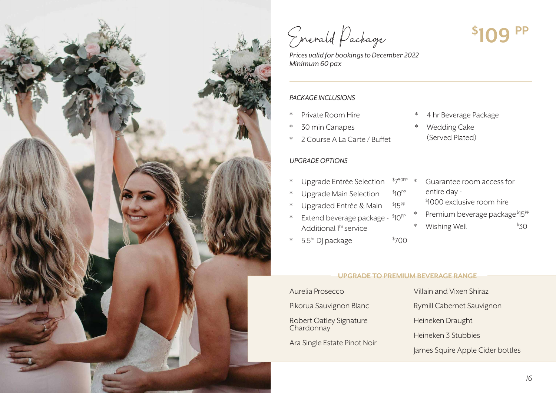

Emerald Package **\$**

**109 PP**

*Prices valid for bookings to December 2022 Minimum 60 pax* 

#### *PACKAGE INCLUSIONS*

- \* Private Room Hire
- \* 30 min Canapes
- \* 2 Course A La Carte / Buffet

#### *UPGRADE OPTIONS*

- \* Upgrade Entrée Selection 7 .50PP
- \* Upgrade Main Selection \$  $$10^{PP}$
- Upgraded Entrée & Main  $515^{PP}$
- $*$  Extend beverage package  $$10^{PP}$ Additional 1hr service
- $*$  5.5<sup>hr</sup> DJ package
- 4 hr Beverage Package
- Wedding Cake (Served Plated)
- \* Guarantee room access for entire day -
	- \$ 1000 exclusive room hire
- $^*$  Premium beverage package $^{\$}$ 15 $^{\rm PP}$
- Wishing Well  $$30$

#### **UPGRADE TO PREMIUM BEVERAGE RANGE**

 $$700$ 

Aurelia Prosecco

Pikorua Sauvignon Blanc

Robert Oatley Signature Chardonnay<sup>1</sup>

Ara Single Estate Pinot Noir

Villain and Vixen Shiraz Rymill Cabernet Sauvignon Heineken Draught Heineken 3 Stubbies James Squire Apple Cider bottles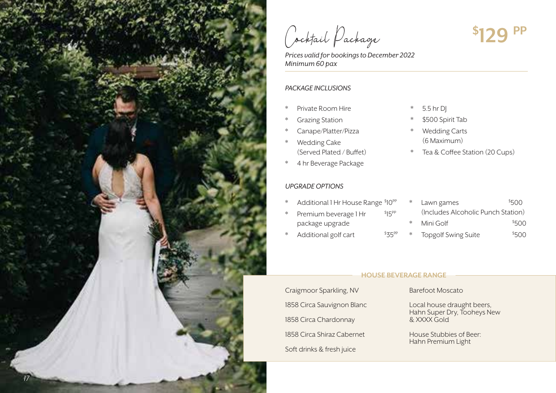

Cocktail Package **\$**

*Prices valid for bookings to December 2022 Minimum 60 pax*

#### *PACKAGE INCLUSIONS*

- \* Private Room Hire
- \* Grazing Station
- \* Canape/Platter/Pizza
- \* Wedding Cake (Served Plated / Buffet)
- \* 4 hr Beverage Package

## *UPGRADE OPTIONS*

- \* Additional 1 Hr House Range  $$10^{pp}$
- \* Premium beverage 1 Hr \$  $$15^{PP}$ package upgrade
- \* Additional golf cart \$
- $*$  5.5 hr DJ
- \$500 Spirit Tab
- \* Wedding Carts (6 Maximum)
- \* Tea & Coffee Station (20 Cups)

| $\ast$ | Lawn games                         | \$500 |
|--------|------------------------------------|-------|
|        | (Includes Alcoholic Punch Station) |       |
| $\ast$ | Mini Golf                          | \$500 |
| $\ast$ | <b>Topgolf Swing Suite</b>         | \$500 |

#### **HOUSE BEVERAGE RANGE**

 $$35^{PP}$ 

Craigmoor Sparkling, NV 1858 Circa Sauvignon Blanc 1858 Circa Chardonnay 1858 Circa Shiraz Cabernet Soft drinks & fresh juice

#### Barefoot Moscato

Local house draught beers, Hahn Super Dry, Tooheys New & XXXX Gold

House Stubbies of Beer: Hahn Premium Light

**129 PP**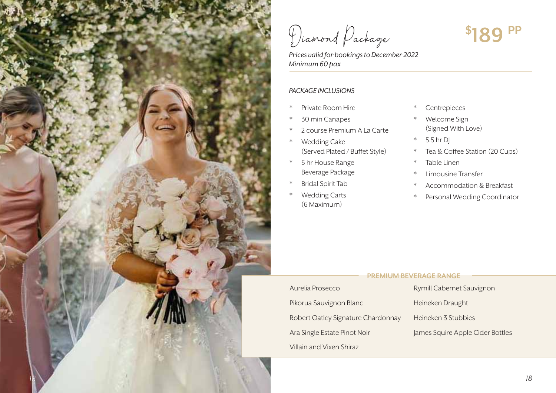

Diamond Package **\$**

**189 PP**

*Prices valid for bookings to December 2022 Minimum 60 pax*

## *PACKAGE INCLUSIONS*

- \* Private Room Hire
- 30 min Canapes
- 2 course Premium A La Carte
- **Wedding Cake** (Served Plated / Buffet Style)
- \* 5 hr House Range Beverage Package
- \* Bridal Spirit Tab
- **Wedding Carts** (6 Maximum)
- **Centrepieces**
- Welcome Sign (Signed With Love)
- 5.5 hr DJ
- \* Tea & Coffee Station (20 Cups)
- \* Table Linen
- **Limousine Transfer**
- Accommodation & Breakfast
- Personal Wedding Coordinator

#### **PREMIUM BEVERAGE RANGE**

# Aurelia Prosecco

Pikorua Sauvignon Blanc

Robert Oatley Signature Chardonnay

Ara Single Estate Pinot Noir

# Villain and Vixen Shiraz

Rymill Cabernet Sauvignon

Heineken Draught

Heineken 3 Stubbies

James Squire Apple Cider Bottles